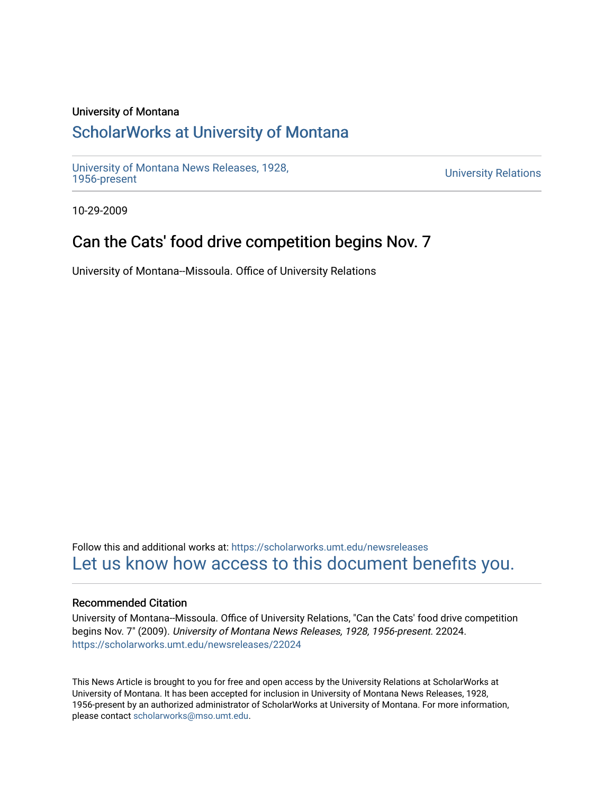### University of Montana

# [ScholarWorks at University of Montana](https://scholarworks.umt.edu/)

[University of Montana News Releases, 1928,](https://scholarworks.umt.edu/newsreleases) 

**University Relations** 

10-29-2009

## Can the Cats' food drive competition begins Nov. 7

University of Montana--Missoula. Office of University Relations

Follow this and additional works at: [https://scholarworks.umt.edu/newsreleases](https://scholarworks.umt.edu/newsreleases?utm_source=scholarworks.umt.edu%2Fnewsreleases%2F22024&utm_medium=PDF&utm_campaign=PDFCoverPages) [Let us know how access to this document benefits you.](https://goo.gl/forms/s2rGfXOLzz71qgsB2) 

### Recommended Citation

University of Montana--Missoula. Office of University Relations, "Can the Cats' food drive competition begins Nov. 7" (2009). University of Montana News Releases, 1928, 1956-present. 22024. [https://scholarworks.umt.edu/newsreleases/22024](https://scholarworks.umt.edu/newsreleases/22024?utm_source=scholarworks.umt.edu%2Fnewsreleases%2F22024&utm_medium=PDF&utm_campaign=PDFCoverPages) 

This News Article is brought to you for free and open access by the University Relations at ScholarWorks at University of Montana. It has been accepted for inclusion in University of Montana News Releases, 1928, 1956-present by an authorized administrator of ScholarWorks at University of Montana. For more information, please contact [scholarworks@mso.umt.edu.](mailto:scholarworks@mso.umt.edu)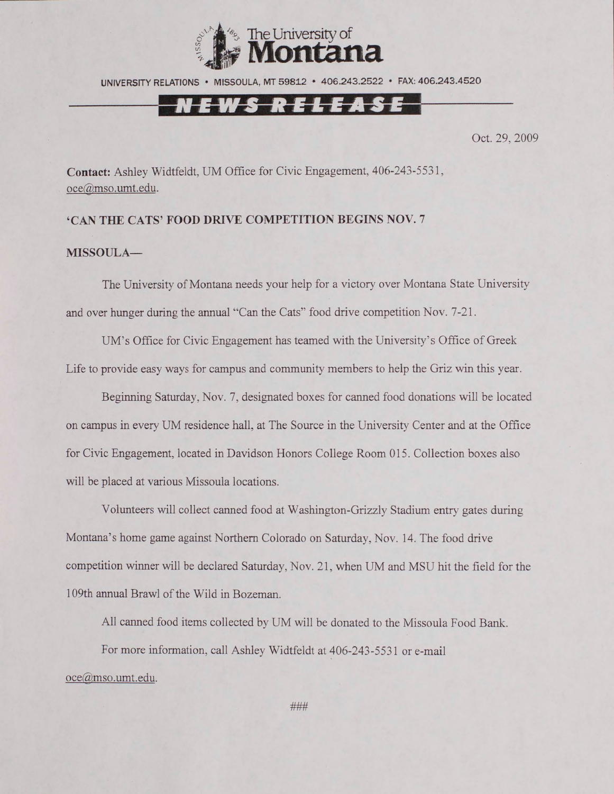

UNIVERSITY RELATIONS • MISSOULA, MT 59812 • 406.243.2522 • FAX: 406.243.4520

## N E W S R E L E A S E

Oct. 29, 2009

**Contact:** Ashley Widtfeldt, UM Office for Civic Engagement, 406-243-5531, [oce@mso.umt.edu](mailto:oce@mso.umt.edu).

#### **'CAN THE CATS' FOOD DRIVE COMPETITION BEGINS NOV. 7**

#### **MISSOULA—**

The University of Montana needs your help for a victory over Montana State University and over hunger during the annual "Can the Cats" food drive competition Nov. 7-21.

UM's Office for Civic Engagement has teamed with the University's Office of Greek Life to provide easy ways for campus and community members to help the Griz win this year.

Beginning Saturday, Nov. 7, designated boxes for canned food donations will be located on campus in every UM residence hall, at The Source in the University Center and at the Office for Civic Engagement, located in Davidson Honors College Room 015. Collection boxes also will be placed at various Missoula locations.

Volunteers will collect canned food at Washington-Grizzly Stadium entry gates during Montana's home game against Northern Colorado on Saturday, Nov. 14. The food drive competition winner will be declared Saturday, Nov. 21, when UM and MSU hit the field for the 109th annual Brawl of the Wild in Bozeman.

All canned food items collected by UM will be donated to the Missoula Food Bank.

For more information, call Ashley Widtfeldt at 406-243-5531 or e-mail

[oce@mso.umt.edu](mailto:oce@mso.umt.edu).